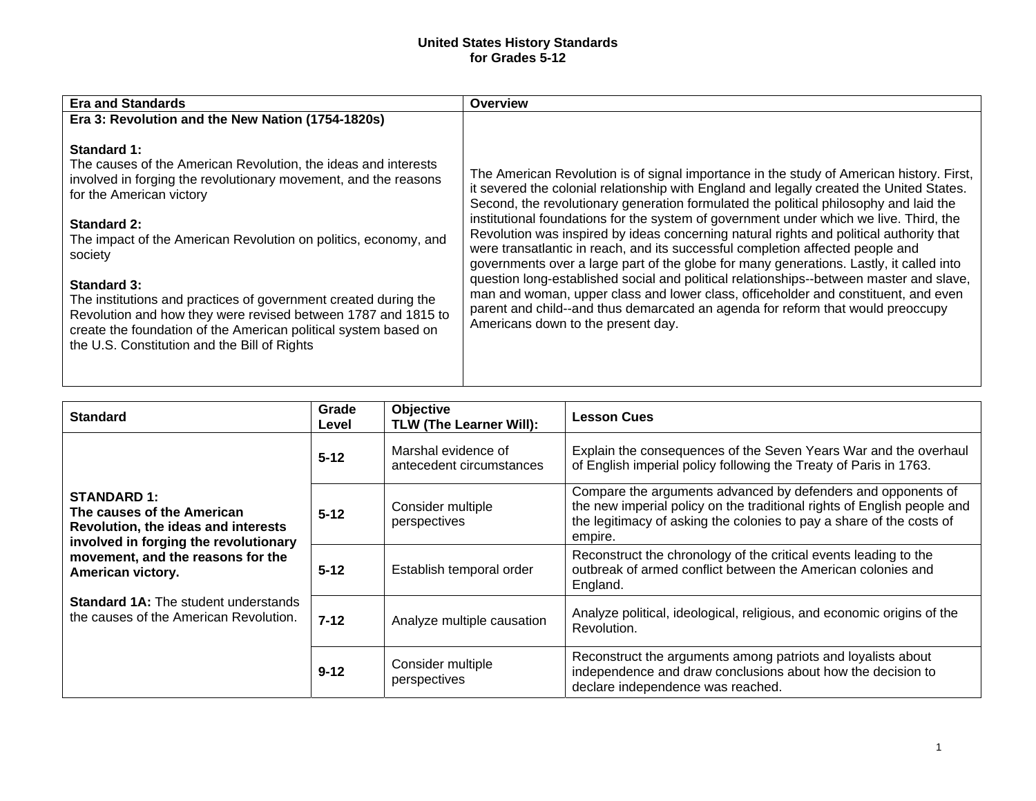## **United States History Standards for Grades 5-12**

| Overview                                                                                                                                                                                                                                                                                                                                                                                                                                                                                                                                                                                                                                                                                                                                                                                                                                                                                                                                                  |
|-----------------------------------------------------------------------------------------------------------------------------------------------------------------------------------------------------------------------------------------------------------------------------------------------------------------------------------------------------------------------------------------------------------------------------------------------------------------------------------------------------------------------------------------------------------------------------------------------------------------------------------------------------------------------------------------------------------------------------------------------------------------------------------------------------------------------------------------------------------------------------------------------------------------------------------------------------------|
|                                                                                                                                                                                                                                                                                                                                                                                                                                                                                                                                                                                                                                                                                                                                                                                                                                                                                                                                                           |
| The American Revolution is of signal importance in the study of American history. First,<br>it severed the colonial relationship with England and legally created the United States.<br>Second, the revolutionary generation formulated the political philosophy and laid the<br>institutional foundations for the system of government under which we live. Third, the<br>Revolution was inspired by ideas concerning natural rights and political authority that<br>were transatlantic in reach, and its successful completion affected people and<br>governments over a large part of the globe for many generations. Lastly, it called into<br>question long-established social and political relationships--between master and slave,<br>man and woman, upper class and lower class, officeholder and constituent, and even<br>parent and child--and thus demarcated an agenda for reform that would preoccupy<br>Americans down to the present day. |
|                                                                                                                                                                                                                                                                                                                                                                                                                                                                                                                                                                                                                                                                                                                                                                                                                                                                                                                                                           |

| <b>Standard</b>                                                                                                                                                                                                                                                                     | Grade<br>Level | <b>Objective</b><br><b>TLW (The Learner Will):</b> | <b>Lesson Cues</b>                                                                                                                                                                                                         |
|-------------------------------------------------------------------------------------------------------------------------------------------------------------------------------------------------------------------------------------------------------------------------------------|----------------|----------------------------------------------------|----------------------------------------------------------------------------------------------------------------------------------------------------------------------------------------------------------------------------|
| <b>STANDARD 1:</b><br>The causes of the American<br>Revolution, the ideas and interests<br>involved in forging the revolutionary<br>movement, and the reasons for the<br>American victory.<br><b>Standard 1A:</b> The student understands<br>the causes of the American Revolution. | $5 - 12$       | Marshal evidence of<br>antecedent circumstances    | Explain the consequences of the Seven Years War and the overhaul<br>of English imperial policy following the Treaty of Paris in 1763.                                                                                      |
|                                                                                                                                                                                                                                                                                     | $5 - 12$       | Consider multiple<br>perspectives                  | Compare the arguments advanced by defenders and opponents of<br>the new imperial policy on the traditional rights of English people and<br>the legitimacy of asking the colonies to pay a share of the costs of<br>empire. |
|                                                                                                                                                                                                                                                                                     | $5 - 12$       | Establish temporal order                           | Reconstruct the chronology of the critical events leading to the<br>outbreak of armed conflict between the American colonies and<br>England.                                                                               |
|                                                                                                                                                                                                                                                                                     | $7 - 12$       | Analyze multiple causation                         | Analyze political, ideological, religious, and economic origins of the<br>Revolution.                                                                                                                                      |
|                                                                                                                                                                                                                                                                                     | $9 - 12$       | Consider multiple<br>perspectives                  | Reconstruct the arguments among patriots and loyalists about<br>independence and draw conclusions about how the decision to<br>declare independence was reached.                                                           |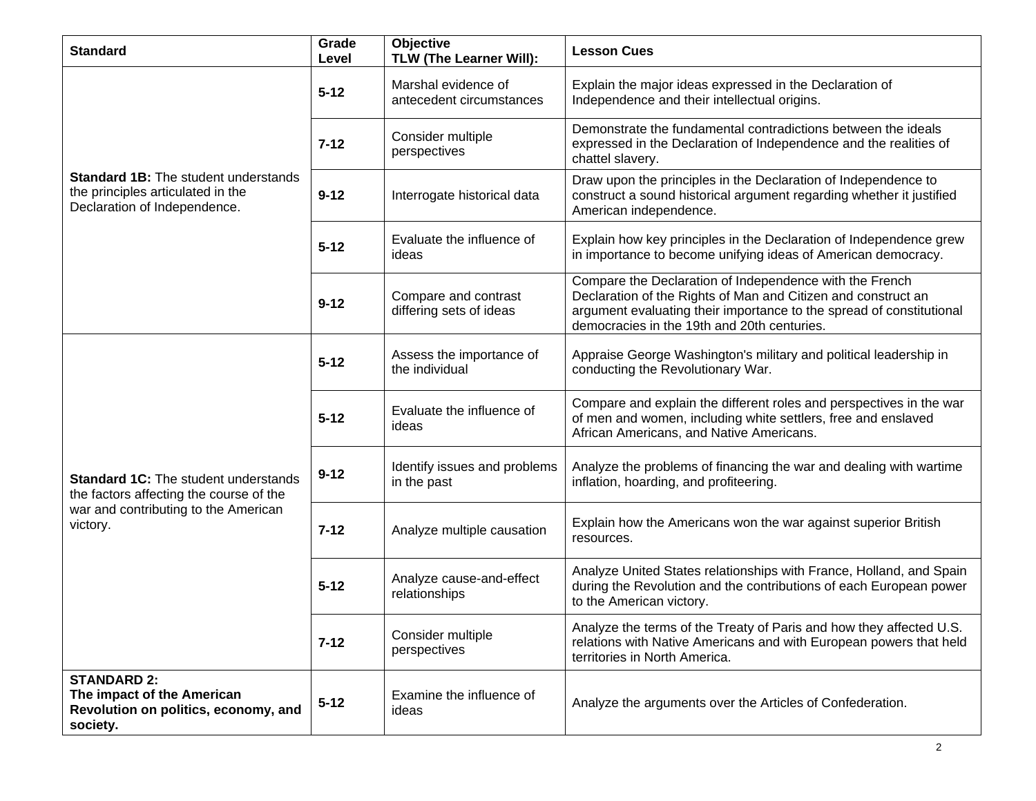| <b>Standard</b>                                                                                                                            | Grade<br>Level | Objective<br><b>TLW (The Learner Will):</b>     | <b>Lesson Cues</b>                                                                                                                                                                                                                              |
|--------------------------------------------------------------------------------------------------------------------------------------------|----------------|-------------------------------------------------|-------------------------------------------------------------------------------------------------------------------------------------------------------------------------------------------------------------------------------------------------|
| <b>Standard 1B:</b> The student understands<br>the principles articulated in the<br>Declaration of Independence.                           | $5 - 12$       | Marshal evidence of<br>antecedent circumstances | Explain the major ideas expressed in the Declaration of<br>Independence and their intellectual origins.                                                                                                                                         |
|                                                                                                                                            | $7 - 12$       | Consider multiple<br>perspectives               | Demonstrate the fundamental contradictions between the ideals<br>expressed in the Declaration of Independence and the realities of<br>chattel slavery.                                                                                          |
|                                                                                                                                            | $9 - 12$       | Interrogate historical data                     | Draw upon the principles in the Declaration of Independence to<br>construct a sound historical argument regarding whether it justified<br>American independence.                                                                                |
|                                                                                                                                            | $5 - 12$       | Evaluate the influence of<br>ideas              | Explain how key principles in the Declaration of Independence grew<br>in importance to become unifying ideas of American democracy.                                                                                                             |
|                                                                                                                                            | $9 - 12$       | Compare and contrast<br>differing sets of ideas | Compare the Declaration of Independence with the French<br>Declaration of the Rights of Man and Citizen and construct an<br>argument evaluating their importance to the spread of constitutional<br>democracies in the 19th and 20th centuries. |
| <b>Standard 1C:</b> The student understands<br>the factors affecting the course of the<br>war and contributing to the American<br>victory. | $5 - 12$       | Assess the importance of<br>the individual      | Appraise George Washington's military and political leadership in<br>conducting the Revolutionary War.                                                                                                                                          |
|                                                                                                                                            | $5 - 12$       | Evaluate the influence of<br>ideas              | Compare and explain the different roles and perspectives in the war<br>of men and women, including white settlers, free and enslaved<br>African Americans, and Native Americans.                                                                |
|                                                                                                                                            | $9 - 12$       | Identify issues and problems<br>in the past     | Analyze the problems of financing the war and dealing with wartime<br>inflation, hoarding, and profiteering.                                                                                                                                    |
|                                                                                                                                            | $7 - 12$       | Analyze multiple causation                      | Explain how the Americans won the war against superior British<br>resources.                                                                                                                                                                    |
|                                                                                                                                            | $5 - 12$       | Analyze cause-and-effect<br>relationships       | Analyze United States relationships with France, Holland, and Spain<br>during the Revolution and the contributions of each European power<br>to the American victory.                                                                           |
|                                                                                                                                            | $7 - 12$       | Consider multiple<br>perspectives               | Analyze the terms of the Treaty of Paris and how they affected U.S.<br>relations with Native Americans and with European powers that held<br>territories in North America.                                                                      |
| <b>STANDARD 2:</b><br>The impact of the American<br>Revolution on politics, economy, and<br>society.                                       | $5 - 12$       | Examine the influence of<br>ideas               | Analyze the arguments over the Articles of Confederation.                                                                                                                                                                                       |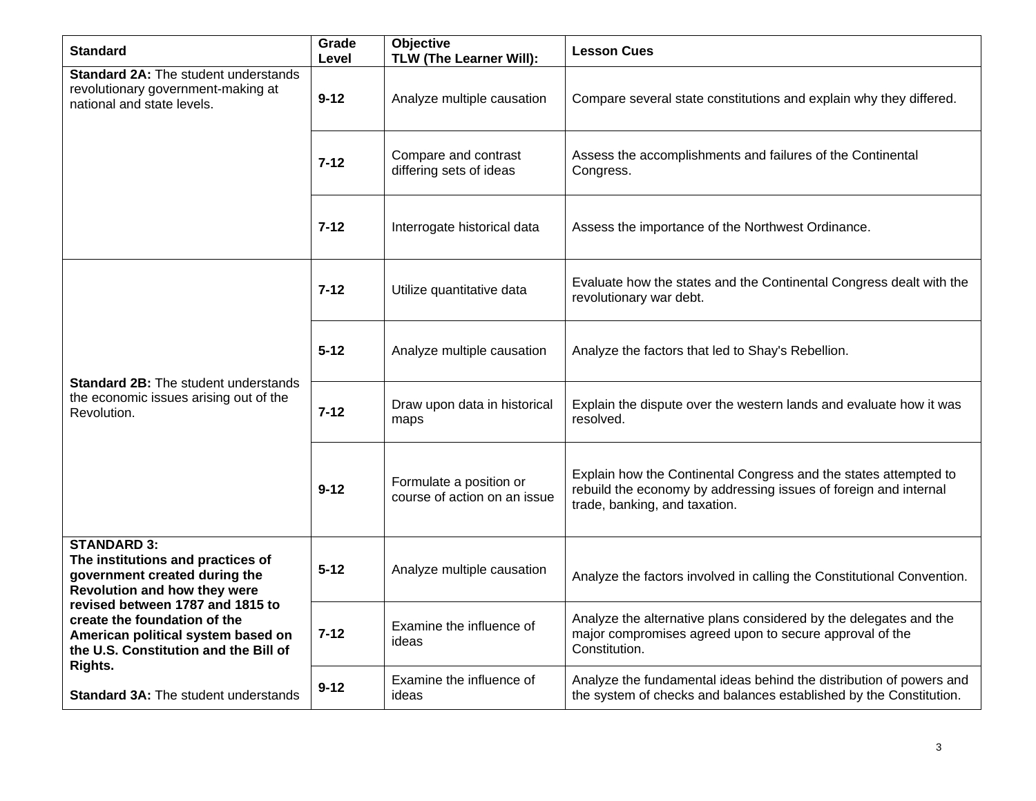| <b>Standard</b>                                                                                                                                                                                                                                                                        | Grade<br>Level | Objective<br>TLW (The Learner Will):                    | <b>Lesson Cues</b>                                                                                                                                                    |
|----------------------------------------------------------------------------------------------------------------------------------------------------------------------------------------------------------------------------------------------------------------------------------------|----------------|---------------------------------------------------------|-----------------------------------------------------------------------------------------------------------------------------------------------------------------------|
| <b>Standard 2A: The student understands</b><br>revolutionary government-making at<br>national and state levels.                                                                                                                                                                        | $9 - 12$       | Analyze multiple causation                              | Compare several state constitutions and explain why they differed.                                                                                                    |
|                                                                                                                                                                                                                                                                                        | $7 - 12$       | Compare and contrast<br>differing sets of ideas         | Assess the accomplishments and failures of the Continental<br>Congress.                                                                                               |
|                                                                                                                                                                                                                                                                                        | $7 - 12$       | Interrogate historical data                             | Assess the importance of the Northwest Ordinance.                                                                                                                     |
| <b>Standard 2B:</b> The student understands<br>the economic issues arising out of the<br>Revolution.                                                                                                                                                                                   | $7 - 12$       | Utilize quantitative data                               | Evaluate how the states and the Continental Congress dealt with the<br>revolutionary war debt.                                                                        |
|                                                                                                                                                                                                                                                                                        | $5 - 12$       | Analyze multiple causation                              | Analyze the factors that led to Shay's Rebellion.                                                                                                                     |
|                                                                                                                                                                                                                                                                                        | $7 - 12$       | Draw upon data in historical<br>maps                    | Explain the dispute over the western lands and evaluate how it was<br>resolved.                                                                                       |
|                                                                                                                                                                                                                                                                                        | $9 - 12$       | Formulate a position or<br>course of action on an issue | Explain how the Continental Congress and the states attempted to<br>rebuild the economy by addressing issues of foreign and internal<br>trade, banking, and taxation. |
| <b>STANDARD 3:</b><br>The institutions and practices of<br>government created during the<br>Revolution and how they were<br>revised between 1787 and 1815 to<br>create the foundation of the<br>American political system based on<br>the U.S. Constitution and the Bill of<br>Rights. | $5 - 12$       | Analyze multiple causation                              | Analyze the factors involved in calling the Constitutional Convention.                                                                                                |
|                                                                                                                                                                                                                                                                                        | $7 - 12$       | Examine the influence of<br>ideas                       | Analyze the alternative plans considered by the delegates and the<br>major compromises agreed upon to secure approval of the<br>Constitution.                         |
| <b>Standard 3A: The student understands</b>                                                                                                                                                                                                                                            | $9 - 12$       | Examine the influence of<br>ideas                       | Analyze the fundamental ideas behind the distribution of powers and<br>the system of checks and balances established by the Constitution.                             |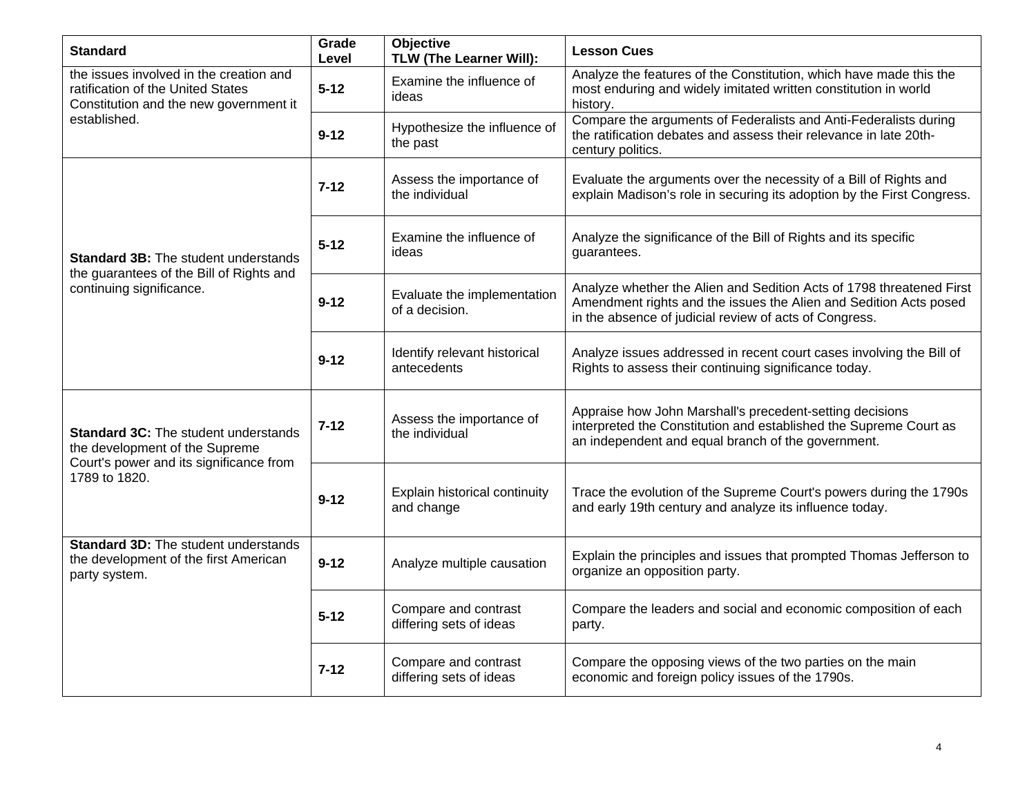| <b>Standard</b>                                                                                                                           | Grade<br>Level | <b>Objective</b><br>TLW (The Learner Will):     | <b>Lesson Cues</b>                                                                                                                                                                                  |
|-------------------------------------------------------------------------------------------------------------------------------------------|----------------|-------------------------------------------------|-----------------------------------------------------------------------------------------------------------------------------------------------------------------------------------------------------|
| the issues involved in the creation and<br>ratification of the United States<br>Constitution and the new government it<br>established.    | $5 - 12$       | Examine the influence of<br>ideas               | Analyze the features of the Constitution, which have made this the<br>most enduring and widely imitated written constitution in world<br>history.                                                   |
|                                                                                                                                           | $9 - 12$       | Hypothesize the influence of<br>the past        | Compare the arguments of Federalists and Anti-Federalists during<br>the ratification debates and assess their relevance in late 20th-<br>century politics.                                          |
| <b>Standard 3B: The student understands</b><br>the guarantees of the Bill of Rights and<br>continuing significance.                       | $7 - 12$       | Assess the importance of<br>the individual      | Evaluate the arguments over the necessity of a Bill of Rights and<br>explain Madison's role in securing its adoption by the First Congress.                                                         |
|                                                                                                                                           | $5 - 12$       | Examine the influence of<br>ideas               | Analyze the significance of the Bill of Rights and its specific<br>guarantees.                                                                                                                      |
|                                                                                                                                           | $9 - 12$       | Evaluate the implementation<br>of a decision.   | Analyze whether the Alien and Sedition Acts of 1798 threatened First<br>Amendment rights and the issues the Alien and Sedition Acts posed<br>in the absence of judicial review of acts of Congress. |
|                                                                                                                                           | $9 - 12$       | Identify relevant historical<br>antecedents     | Analyze issues addressed in recent court cases involving the Bill of<br>Rights to assess their continuing significance today.                                                                       |
| <b>Standard 3C:</b> The student understands<br>the development of the Supreme<br>Court's power and its significance from<br>1789 to 1820. | $7 - 12$       | Assess the importance of<br>the individual      | Appraise how John Marshall's precedent-setting decisions<br>interpreted the Constitution and established the Supreme Court as<br>an independent and equal branch of the government.                 |
|                                                                                                                                           | $9 - 12$       | Explain historical continuity<br>and change     | Trace the evolution of the Supreme Court's powers during the 1790s<br>and early 19th century and analyze its influence today.                                                                       |
| <b>Standard 3D:</b> The student understands<br>the development of the first American<br>party system.                                     | $9 - 12$       | Analyze multiple causation                      | Explain the principles and issues that prompted Thomas Jefferson to<br>organize an opposition party.                                                                                                |
|                                                                                                                                           | $5 - 12$       | Compare and contrast<br>differing sets of ideas | Compare the leaders and social and economic composition of each<br>party.                                                                                                                           |
|                                                                                                                                           | $7 - 12$       | Compare and contrast<br>differing sets of ideas | Compare the opposing views of the two parties on the main<br>economic and foreign policy issues of the 1790s.                                                                                       |